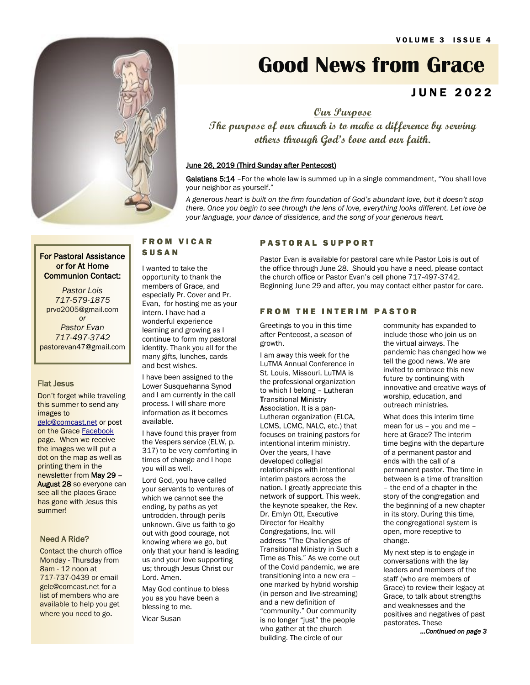

# **Good News from Grace**

### J U N E 2 0 2 2

**Our Purpose**

**The purpose of our church is to make a difference by serving others through God's love and our faith.**

### June 26, 2019 (Third Sunday after Pentecost)

Galatians 5:14 - For the whole law is summed up in a single commandment, "You shall love your neighbor as yourself."

*A generous heart is built on the firm foundation of God's abundant love, but it doesn't stop there. Once you begin to see through the lens of love, everything looks different. Let love be your language, your dance of dissidence, and the song of your generous heart.*

### For Pastoral Assistance or for At Home Communion Contact:

*Pastor Lois 717-579-1875* prvo2005@gmail.com *or Pastor Evan 717-497-3742* pastorevan47@gmail.com

### Flat Jesus

Don't forget while traveling this summer to send any images to [gelc@comcast.net](mailto:gelc@comcast.net) or post

on the Grace [Facebook](https://www.facebook.com/Grace-Lutheran-Church-406825572740789) page. When we receive the images we will put a dot on the map as well as printing them in the newsletter from May 29 – August 28 so everyone can see all the places Grace has gone with Jesus this summer!

### Need A Ride?

**Contact the church office** Monday - Thursday from 8am - 12 noon at 717-737-0439 or email gelc@comcast.net for a list of members who are available to help you get where you need to go.

### F R O M V I C A R **SUSAN**

I wanted to take the opportunity to thank the members of Grace, and especially Pr. Cover and Pr. Evan, for hosting me as your intern. I have had a wonderful experience learning and growing as I continue to form my pastoral identity. Thank you all for the many gifts, lunches, cards and best wishes.

I have been assigned to the Lower Susquehanna Synod and I am currently in the call process. I will share more information as it becomes available.

I have found this prayer from the Vespers service (ELW, p. 317) to be very comforting in times of change and I hope you will as well.

Lord God, you have called your servants to ventures of which we cannot see the ending, by paths as yet untrodden, through perils unknown. Give us faith to go out with good courage, not knowing where we go, but only that your hand is leading us and your love supporting us; through Jesus Christ our Lord. Amen.

May God continue to bless you as you have been a blessing to me. Vicar Susan

### PASTORAL SUPPORT

Pastor Evan is available for pastoral care while Pastor Lois is out of the office through June 28. Should you have a need, please contact the church office or Pastor Evan's cell phone 717-497-3742. Beginning June 29 and after, you may contact either pastor for care.

### **FROM THE INTERIM PASTOR**

Greetings to you in this time after Pentecost, a season of growth.

I am away this week for the LuTMA Annual Conference in St. Louis, Missouri. LuTMA is the professional organization to which I belong - Lutheran Transitional Ministry Association. It is a pan-Lutheran organization (ELCA, LCMS, LCMC, NALC, etc.) that focuses on training pastors for intentional interim ministry. Over the years, I have developed collegial relationships with intentional interim pastors across the nation. I greatly appreciate this network of support. This week, the keynote speaker, the Rev. Dr. Emlyn Ott, Executive Director for Healthy Congregations, Inc. will address "The Challenges of Transitional Ministry in Such a Time as This." As we come out of the Covid pandemic, we are transitioning into a new era – one marked by hybrid worship (in person and live-streaming) and a new definition of "community." Our community is no longer "just" the people who gather at the church building. The circle of our

community has expanded to include those who join us on the virtual airways. The pandemic has changed how we tell the good news. We are invited to embrace this new future by continuing with innovative and creative ways of worship, education, and outreach ministries.

What does this interim time mean for us – you and me – here at Grace? The interim time begins with the departure of a permanent pastor and ends with the call of a permanent pastor. The time in between is a time of transition – the end of a chapter in the story of the congregation and the beginning of a new chapter in its story. During this time, the congregational system is open, more receptive to change.

My next step is to engage in conversations with the lay leaders and members of the staff (who are members of Grace) to review their legacy at Grace, to talk about strengths and weaknesses and the positives and negatives of past pastorates. These

*...Continued on page 3*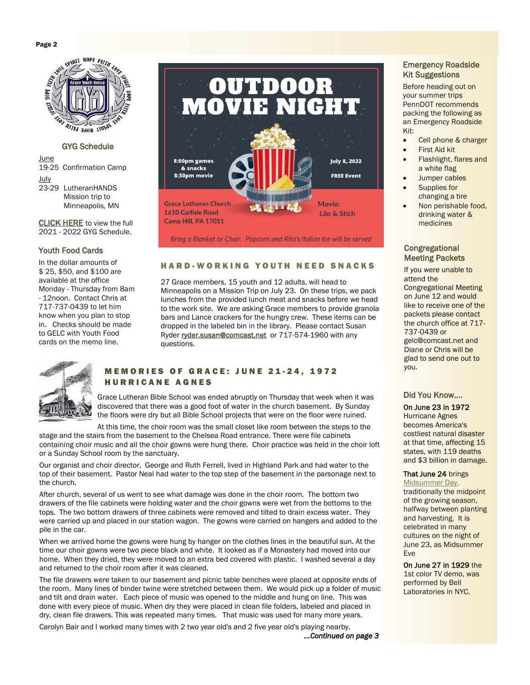

### GYG Schedule

June

19-25 Confirmation Camp July

23-29 LutheranHANDS Mission trip to Minneapolis, MN

[CLICK HERE](https://b09c93a5-c12d-425b-9eac-2de470f65c89.filesusr.com/ugd/f68493_630a778947f140e1abb7f6de44fc3f17.pdf) to view the full 2021 - 2022 GYG Schedule.

### Youth Food Cards

In the dollar amounts of \$ 25, \$50, and \$100 are available at the office Monday - Thursday from 8am - 12noon. Contact Chris at 717-737-0439 to let him know when you plan to stop in. Checks should be made to GELC with Youth Food cards on the memo line.



Bring a Blanket or Chair. Popcorn and Rita's Italian Ice will be served

### HARD-WORKING YOUTH NEED SNACKS

27 Grace members, 15 youth and 12 adults, will head to Minneapolis on a Mission Trip on July 23. On these trips, we pack lunches from the provided lunch meat and snacks before we head to the work site. We are asking Grace members to provide granola bars and Lance crackers for the hungry crew. These items can be dropped in the labeled bin in the library. Please contact Susan Ryder [ryder.susan@comcast.net](mailto:ryder.susan@comcast.net) or 717-574-1960 with any questions.



### MEMORIES OF GRACE: JUNE 21-24, 1972 **HURRICANE AGNES**

Grace Lutheran Bible School was ended abruptly on Thursday that week when it was discovered that there was a good foot of water in the church basement. By Sunday the floors were dry but all Bible School projects that were on the floor were ruined.

At this time, the choir room was the small closet like room between the steps to the stage and the stairs from the basement to the Chelsea Road entrance. There were file cabinets containing choir music and all the choir gowns were hung there. Choir practice was held in the choir loft or a Sunday School room by the sanctuary.

Our organist and choir director, George and Ruth Ferrell, lived in Highland Park and had water to the top of their basement. Pastor Neal had water to the top step of the basement in the parsonage next to the church.

After church, several of us went to see what damage was done in the choir room. The bottom two drawers of the file cabinets were holding water and the choir gowns were wet from the bottoms to the tops. The two bottom drawers of three cabinets were removed and tilted to drain excess water. They were carried up and placed in our station wagon. The gowns were carried on hangers and added to the pile in the car.

When we arrived home the gowns were hung by hanger on the clothes lines in the beautiful sun. At the time our choir gowns were two piece black and white. It looked as if a Monastery had moved into our home. When they dried, they were moved to an extra bed covered with plastic. I washed several a day and returned to the choir room after it was cleaned.

The file drawers were taken to our basement and picnic table benches were placed at opposite ends of the room. Many lines of binder twine were stretched between them. We would pick up a folder of music and tilt and drain water. Each piece of music was opened to the middle and hung on line. This was done with every piece of music. When dry they were placed in clean file folders, labeled and placed in dry, clean file drawers. This was repeated many times. That music was used for many more years.

Carolyn Bair and I worked many times with 2 two year old's and 2 five year old's playing nearby. *...Continued on page 3*

### Emergency Roadside Kit Suggestions

Before heading out on your summer trips PennDOT recommends packing the following as an Emergency Roadside Kit:

- Cell phone & charger
- First Aid kit
- Flashlight, flares and a white flag
- Jumper cables Supplies for
- changing a tire
- Non perishable food, drinking water & medicines

### **Congregational** Meeting Packets

If you were unable to attend the Congregational Meeting on June 12 and would like to receive one of the packets please contact the church office at 717- 737-0439 or gelc@comcast.net and Diane or Chris will be glad to send one out to you.

### Did You Know….

On June 23 in [1972](https://www.onthisday.com/events/date/1972)  Hurricane Agnes becomes America's costliest natural disaster at that time, affecting 15 states, with 119 deaths

and \$3 billion in damage.

### That June 24 brings

[Midsummer Day,](https://www.almanac.com/content/midsummer-day) traditionally the midpoint of the growing season, halfway between planting and harvesting. It is celebrated in many cultures on the night of June 23, as Midsummer Eve

On June 27 in 1929 the 1st color TV demo, was performed by Bell Laboratories in NYC.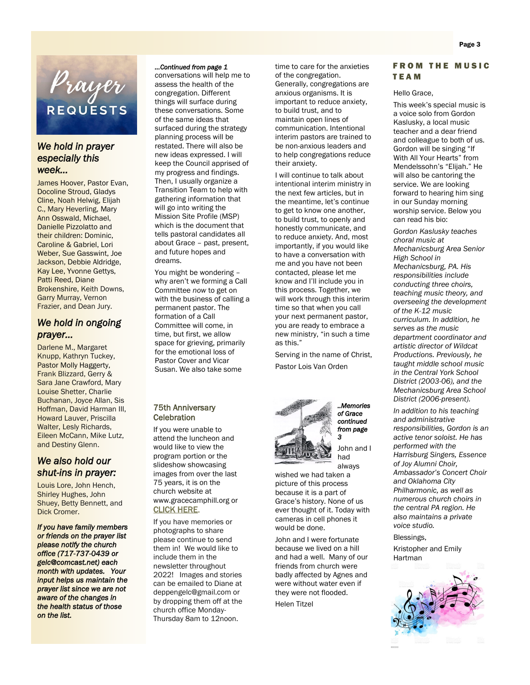

### *We hold in prayer especially this week…*

James Hoover, Pastor Evan, Docoline Stroud, Gladys Cline, Noah Helwig, Elijah C., Mary Heverling, Mary Ann Osswald, Michael, Danielle Pizzolatto and their children: Dominic, Caroline & Gabriel, Lori Weber, Sue Gasswint, Joe Jackson, Debbie Aldridge, Kay Lee, Yvonne Gettys, Patti Reed, Diane Brokenshire, Keith Downs, Garry Murray, Vernon Frazier, and Dean Jury.

### *We hold in ongoing prayer…*

Darlene M., Margaret Knupp, Kathryn Tuckey, Pastor Molly Haggerty, Frank Blizzard, Gerry & Sara Jane Crawford, Mary Louise Shetter, Charlie Buchanan, Joyce Allan, Sis Hoffman, David Harman III, Howard Lauver, Priscilla Walter, Lesly Richards, Eileen McCann, Mike Lutz, and Destiny Glenn.

### *We also hold our shut-ins in prayer:*

Louis Lore, John Hench, Shirley Hughes, John Shuey, Betty Bennett, and Dick Cromer.

*If you have family members or friends on the prayer list please notify the church office (717-737-0439 or gelc@comcast.net) each month with updates. Your input helps us maintain the prayer list since we are not aware of the changes in the health status of those on the list.* 

### *...Continued from page 1*

conversations will help me to assess the health of the congregation. Different things will surface during these conversations. Some of the same ideas that surfaced during the strategy planning process will be restated. There will also be new ideas expressed. I will keep the Council apprised of my progress and findings. Then, I usually organize a Transition Team to help with gathering information that will go into writing the Mission Site Profile (MSP) which is the document that tells pastoral candidates all about Grace – past, present, and future hopes and dreams.

You might be wondering – why aren't we forming a Call Committee *now* to get on with the business of calling a permanent pastor. The formation of a Call Committee will come, in time, but first, we allow space for grieving, primarily for the emotional loss of Pastor Cover and Vicar Susan. We also take some

### 75th Anniversary **Celebration**

 If you were unable to attend the luncheon and would like to view the program portion or the slideshow showcasing images from over the last 75 years, it is on the church website at www.gracecamphill.org or [CLICK HERE](https://www.gracecamphill.org/75th-anniversary-celebration).

If you have memories or photographs to share please continue to send them in! We would like to include them in the newsletter throughout 2022! Images and stories can be emailed to Diane at deppengelc@gmail.com or by dropping them off at the church office Monday-Thursday 8am to 12noon.

time to care for the anxieties of the congregation. Generally, congregations are anxious organisms. It is important to reduce anxiety, to build trust, and to maintain open lines of communication. Intentional interim pastors are trained to be non-anxious leaders and to help congregations reduce their anxiety.

I will continue to talk about intentional interim ministry in the next few articles, but in the meantime, let's continue to get to know one another, to build trust, to openly and honestly communicate, and to reduce anxiety. And, most importantly, if you would like to have a conversation with me and you have not been contacted, please let me know and I'll include you in this process. Together, we will work through this interim time so that when you call your next permanent pastor, you are ready to embrace a new ministry, "in such a time as this."

Serving in the name of Christ, Pastor Lois Van Orden



*of Grace continued from page 3*  John and I

*..Memories* 

had always wished we had taken a picture of this process

because it is a part of Grace's history. None of us ever thought of it. Today with cameras in cell phones it would be done.

John and I were fortunate because we lived on a hill and had a well. Many of our friends from church were badly affected by Agnes and were without water even if they were not flooded.

Helen Titzel



#### Hello Grace,

This week's special music is a voice solo from Gordon Kaslusky, a local music teacher and a dear friend and colleague to both of us. Gordon will be singing "If With All Your Hearts" from Mendelssohn's "Elijah." He will also be cantoring the service. We are looking forward to hearing him sing in our Sunday morning worship service. Below you can read his bio:

*Gordon Kaslusky teaches choral music at Mechanicsburg Area Senior High School in Mechanicsburg, PA. His responsibilities include conducting three choirs, teaching music theory, and overseeing the development of the K-12 music curriculum. In addition, he serves as the music department coordinator and artistic director of Wildcat Productions. Previously, he taught middle school music in the Central York School District (2003-06), and the Mechanicsburg Area School District (2006-present).*

*In addition to his teaching and administrative responsibilities, Gordon is an active tenor soloist. He has performed with the Harrisburg Singers, Essence of Joy Alumni Choir, Ambassador's Concert Choir and Oklahoma City Philharmonic, as well as numerous church choirs in the central PA region. He also maintains a private voice studio.*

Blessings,

Kristopher and Emily Hartman